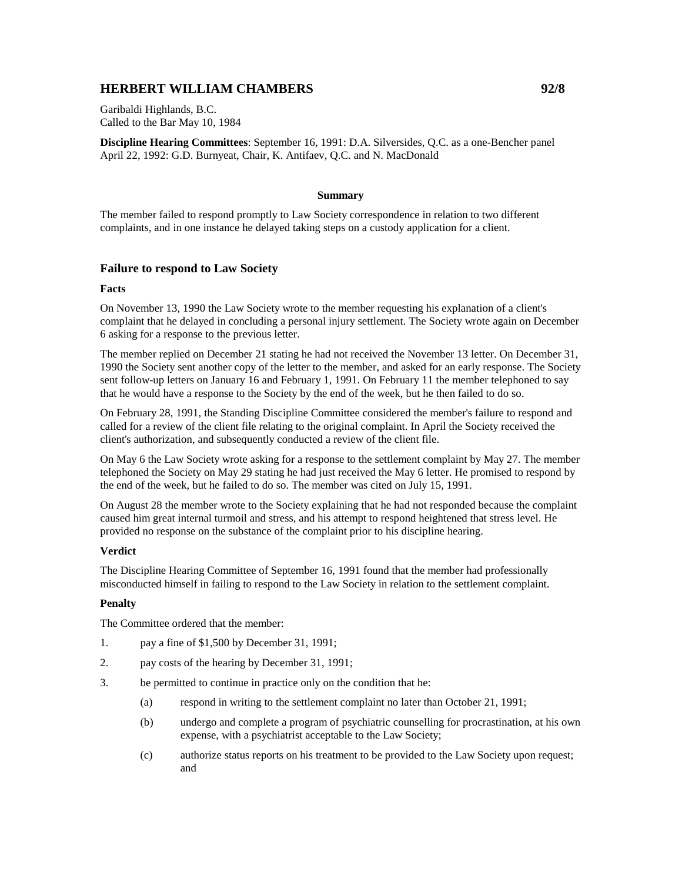# **HERBERT WILLIAM CHAMBERS 92/8**

Garibaldi Highlands, B.C. Called to the Bar May 10, 1984

**Discipline Hearing Committees**: September 16, 1991: D.A. Silversides, Q.C. as a one-Bencher panel April 22, 1992: G.D. Burnyeat, Chair, K. Antifaev, Q.C. and N. MacDonald

## **Summary**

The member failed to respond promptly to Law Society correspondence in relation to two different complaints, and in one instance he delayed taking steps on a custody application for a client.

### **Failure to respond to Law Society**

#### **Facts**

On November 13, 1990 the Law Society wrote to the member requesting his explanation of a client's complaint that he delayed in concluding a personal injury settlement. The Society wrote again on December 6 asking for a response to the previous letter.

The member replied on December 21 stating he had not received the November 13 letter. On December 31, 1990 the Society sent another copy of the letter to the member, and asked for an early response. The Society sent follow-up letters on January 16 and February 1, 1991. On February 11 the member telephoned to say that he would have a response to the Society by the end of the week, but he then failed to do so.

On February 28, 1991, the Standing Discipline Committee considered the member's failure to respond and called for a review of the client file relating to the original complaint. In April the Society received the client's authorization, and subsequently conducted a review of the client file.

On May 6 the Law Society wrote asking for a response to the settlement complaint by May 27. The member telephoned the Society on May 29 stating he had just received the May 6 letter. He promised to respond by the end of the week, but he failed to do so. The member was cited on July 15, 1991.

On August 28 the member wrote to the Society explaining that he had not responded because the complaint caused him great internal turmoil and stress, and his attempt to respond heightened that stress level. He provided no response on the substance of the complaint prior to his discipline hearing.

### **Verdict**

The Discipline Hearing Committee of September 16, 1991 found that the member had professionally misconducted himself in failing to respond to the Law Society in relation to the settlement complaint.

### **Penalty**

The Committee ordered that the member:

- 1. pay a fine of \$1,500 by December 31, 1991;
- 2. pay costs of the hearing by December 31, 1991;
- 3. be permitted to continue in practice only on the condition that he:
	- (a) respond in writing to the settlement complaint no later than October 21, 1991;
	- (b) undergo and complete a program of psychiatric counselling for procrastination, at his own expense, with a psychiatrist acceptable to the Law Society;
	- (c) authorize status reports on his treatment to be provided to the Law Society upon request; and